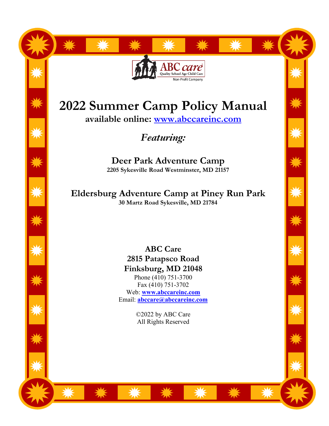# Quality School Age Child Car Non-Profit Company

# **2022 Summer Camp Policy Manual**

**available online: www.abccareinc.com**

*Featuring:*

**Deer Park Adventure Camp 2205 Sykesville Road Westminster, MD 21157**

**Eldersburg Adventure Camp at Piney Run Park 30 Martz Road Sykesville, MD 21784**

> **ABC Care 2815 Patapsco Road Finksburg, MD 21048** Phone (410) 751-3700 Fax (410) 751-3702 Web: **www.abccareinc.com** Email: **abccare@abccareinc.com**

> > ©2022 by ABC Care All Rights Reserved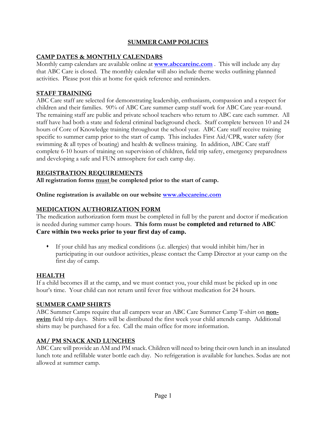#### **SUMMER CAMP POLICIES**

#### **CAMP DATES & MONTHLY CALENDARS**

Monthly camp calendars are available online at **www.abccareinc.com** . This will include any day that ABC Care is closed.The monthly calendar will also include theme weeks outlining planned activities. Please post this at home for quick reference and reminders.

#### **STAFF TRAINING**

ABC Care staff are selected for demonstrating leadership, enthusiasm, compassion and a respect for children and their families. 90% of ABC Care summer camp staff work for ABC Care year-round. The remaining staff are public and private school teachers who return to ABC care each summer. All staff have had both a state and federal criminal background check. Staff complete between 10 and 24 hours of Core of Knowledge training throughout the school year. ABC Care staff receive training specific to summer camp prior to the start of camp. This includes First Aid/CPR, water safety (for swimming & all types of boating) and health & wellness training. In addition, ABC Care staff complete 6-10 hours of training on supervision of children, field trip safety, emergency preparedness and developing a safe and FUN atmosphere for each camp day.

#### **REGISTRATION REQUIREMENTS**

**All registration forms must be completed prior to the start of camp.**

**Online registration is available on our website www.abccareinc.com** 

#### **MEDICATION AUTHORIZATION FORM**

The medication authorization form must be completed in full by the parent and doctor if medication is needed during summer camp hours. **This form must be completed and returned to ABC Care within two weeks prior to your first day of camp.**

 $\bullet$  If your child has any medical conditions (i.e. allergies) that would inhibit him/her in participating in our outdoor activities, please contact the Camp Director at your camp on the first day of camp.

#### **HEALTH**

If a child becomes ill at the camp, and we must contact you, your child must be picked up in one hour's time. Your child can not return until fever free without medication for 24 hours.

#### **SUMMER CAMP SHIRTS**

ABC Summer Camps require that all campers wear an ABC Care Summer Camp T-shirt on **nonswim** field trip days. Shirts will be distributed the first week your child attends camp. Additional shirts may be purchased for a fee. Call the main office for more information.

#### **AM/ PM SNACK AND LUNCHES**

ABC Care will provide an AM and PM snack. Children will need to bring their own lunch in an insulated lunch tote and refillable water bottle each day. No refrigeration is available for lunches. Sodas are not allowed at summer camp.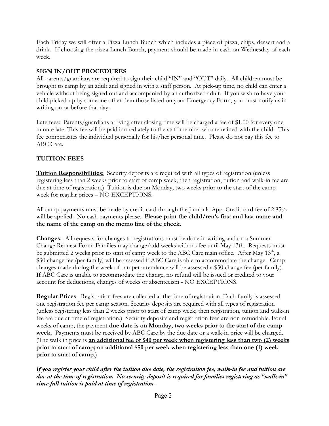Each Friday we will offer a Pizza Lunch Bunch which includes a piece of pizza, chips, dessert and a drink. If choosing the pizza Lunch Bunch, payment should be made in cash on Wednesday of each week.

#### **SIGN IN/OUT PROCEDURES**

All parents/guardians are required to sign their child "IN" and "OUT" daily. All children must be brought to camp by an adult and signed in with a staff person. At pick-up time, no child can enter a vehicle without being signed out and accompanied by an authorized adult. If you wish to have your child picked-up by someone other than those listed on your Emergency Form, you must notify us in writing on or before that day.

Late fees: Parents/guardians arriving after closing time will be charged a fee of \$1.00 for every one minute late. This fee will be paid immediately to the staff member who remained with the child. This fee compensates the individual personally for his/her personal time. Please do not pay this fee to ABC Care.

# **TUITION FEES**

**Tuition Responsibilities:** Security deposits are required with all types of registration (unless registering less than 2 weeks prior to start of camp week; then registration, tuition and walk-in fee are due at time of registration.) Tuition is due on Monday, two weeks prior to the start of the camp week for regular prices – NO EXCEPTIONS.

All camp payments must be made by credit card through the Jumbula App. Credit card fee of 2.85% will be applied. No cash payments please. **Please print the child/ren's first and last name and the name of the camp on the memo line of the check.**

**Changes:** All requests for changes to registrations must be done in writing and on a Summer Change Request Form. Families may change/add weeks with no fee until May 13th. Requests must be submitted 2 weeks prior to start of camp week to the ABC Care main office. After May 13<sup>th</sup>, a \$30 change fee (per family) will be assessed if ABC Care is able to accommodate the change. Camp changes made during the week of camper attendance will be assessed a \$50 change fee (per family). If ABC Care is unable to accommodate the change, no refund will be issued or credited to your account for deductions, changes of weeks or absenteeism - NO EXCEPTIONS.

**Regular Prices**: Registration fees are collected at the time of registration. Each family is assessed one registration fee per camp season. Security deposits are required with all types of registration (unless registering less than 2 weeks prior to start of camp week; then registration, tuition and walk-in fee are due at time of registration.) Security deposits and registration fees are non-refundable. For all weeks of camp, the payment **due date is on Monday, two weeks prior to the start of the camp week.** Payments must be received by ABC Care by the due date or a walk-in price will be charged. (The walk in price is **an additional fee of \$40 per week when registering less than two (2) weeks prior to start of camp; an additional \$50 per week when registering less than one (1) week prior to start of camp**.)

*If you register your child after the tuition due date, the registration fee, walk-in fee and tuition are due at the time of registration. No security deposit is required for families registering as "walk-in" since full tuition is paid at time of registration.*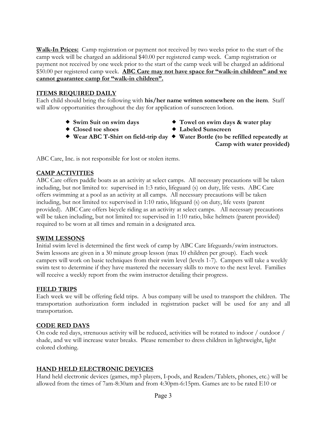**Walk-In Prices:** Camp registration or payment not received by two weeks prior to the start of the camp week will be charged an additional \$40.00 per registered camp week. Camp registration or payment not received by one week prior to the start of the camp week will be charged an additional \$50.00 per registered camp week. **ABC Care may not have space for "walk-in children" and we cannot guarantee camp for "walk-in children".**

#### **ITEMS REQUIRED DAILY**

Each child should bring the following with **his/her name written somewhere on the item**. Staff will allow opportunities throughout the day for application of sunscreen lotion.

- 
- ® **Closed toe shoes** ® **Labeled Sunscreen**
- ® **Swim Suit on swim days** ® **Towel on swim days & water play**
	-
- ® **Wear ABC T-Shirt on field-trip day** ® **Water Bottle (to be refilled repeatedly at Camp with water provided)**

ABC Care, Inc. is not responsible for lost or stolen items.

#### **CAMP ACTIVITIES**

ABC Care offers paddle boats as an activity at select camps. All necessary precautions will be taken including, but not limited to: supervised in 1:3 ratio, lifeguard (s) on duty, life vests. ABC Care offers swimming at a pool as an activity at all camps. All necessary precautions will be taken including, but not limited to: supervised in 1:10 ratio, lifeguard (s) on duty, life vests (parent provided). ABC Care offers bicycle riding as an activity at select camps. All necessary precautions will be taken including, but not limited to: supervised in 1:10 ratio, bike helmets (parent provided) required to be worn at all times and remain in a designated area.

#### **SWIM LESSONS**

Initial swim level is determined the first week of camp by ABC Care lifeguards/swim instructors. Swim lessons are given in a 30 minute group lesson (max 10 children per group). Each week campers will work on basic techniques from their swim level (levels 1-7). Campers will take a weekly swim test to determine if they have mastered the necessary skills to move to the next level. Families will receive a weekly report from the swim instructor detailing their progress.

#### **FIELD TRIPS**

Each week we will be offering field trips. A bus company will be used to transport the children. The transportation authorization form included in registration packet will be used for any and all transportation.

#### **CODE RED DAYS**

On code red days, strenuous activity will be reduced, activities will be rotated to indoor / outdoor / shade, and we will increase water breaks. Please remember to dress children in lightweight, light colored clothing.

#### **HAND HELD ELECTRONIC DEVICES**

Hand held electronic devices (games, mp3 players, I-pods, and Readers/Tablets, phones, etc.) will be allowed from the times of 7am-8:30am and from 4:30pm-6:15pm. Games are to be rated E10 or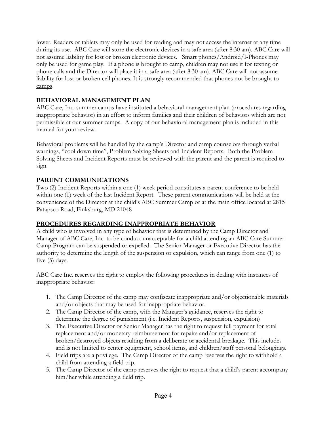lower. Readers or tablets may only be used for reading and may not access the internet at any time during its use. ABC Care will store the electronic devices in a safe area (after 8:30 am). ABC Care will not assume liability for lost or broken electronic devices. Smart phones/Android/I-Phones may only be used for game play. If a phone is brought to camp, children may not use it for texting or phone calls and the Director will place it in a safe area (after 8:30 am). ABC Care will not assume liability for lost or broken cell phones. It is strongly recommended that phones not be brought to camps.

# **BEHAVIORAL MANAGEMENT PLAN**

ABC Care, Inc. summer camps have instituted a behavioral management plan (procedures regarding inappropriate behavior) in an effort to inform families and their children of behaviors which are not permissible at our summer camps. A copy of our behavioral management plan is included in this manual for your review.

Behavioral problems will be handled by the camp's Director and camp counselors through verbal warnings, "cool down time", Problem Solving Sheets and Incident Reports. Both the Problem Solving Sheets and Incident Reports must be reviewed with the parent and the parent is required to sign.

# **PARENT COMMUNICATIONS**

Two (2) Incident Reports within a one (1) week period constitutes a parent conference to be held within one (1) week of the last Incident Report. These parent communications will be held at the convenience of the Director at the child's ABC Summer Camp or at the main office located at 2815 Patapsco Road, Finksburg, MD 21048

# **PROCEDURES REGARDING INAPPROPRIATE BEHAVIOR**

A child who is involved in any type of behavior that is determined by the Camp Director and Manager of ABC Care, Inc. to be conduct unacceptable for a child attending an ABC Care Summer Camp Program can be suspended or expelled. The Senior Manager or Executive Director has the authority to determine the length of the suspension or expulsion, which can range from one (1) to five (5) days.

ABC Care Inc. reserves the right to employ the following procedures in dealing with instances of inappropriate behavior:

- 1. The Camp Director of the camp may confiscate inappropriate and/or objectionable materials and/or objects that may be used for inappropriate behavior.
- 2. The Camp Director of the camp, with the Manager's guidance, reserves the right to determine the degree of punishment (i.e. Incident Reports, suspension, expulsion)
- 3. The Executive Director or Senior Manager has the right to request full payment for total replacement and/or monetary reimbursement for repairs and/or replacement of broken/destroyed objects resulting from a deliberate or accidental breakage. This includes and is not limited to center equipment, school items, and children/staff personal belongings.
- 4. Field trips are a privilege. The Camp Director of the camp reserves the right to withhold a child from attending a field trip.
- 5. The Camp Director of the camp reserves the right to request that a child's parent accompany him/her while attending a field trip.